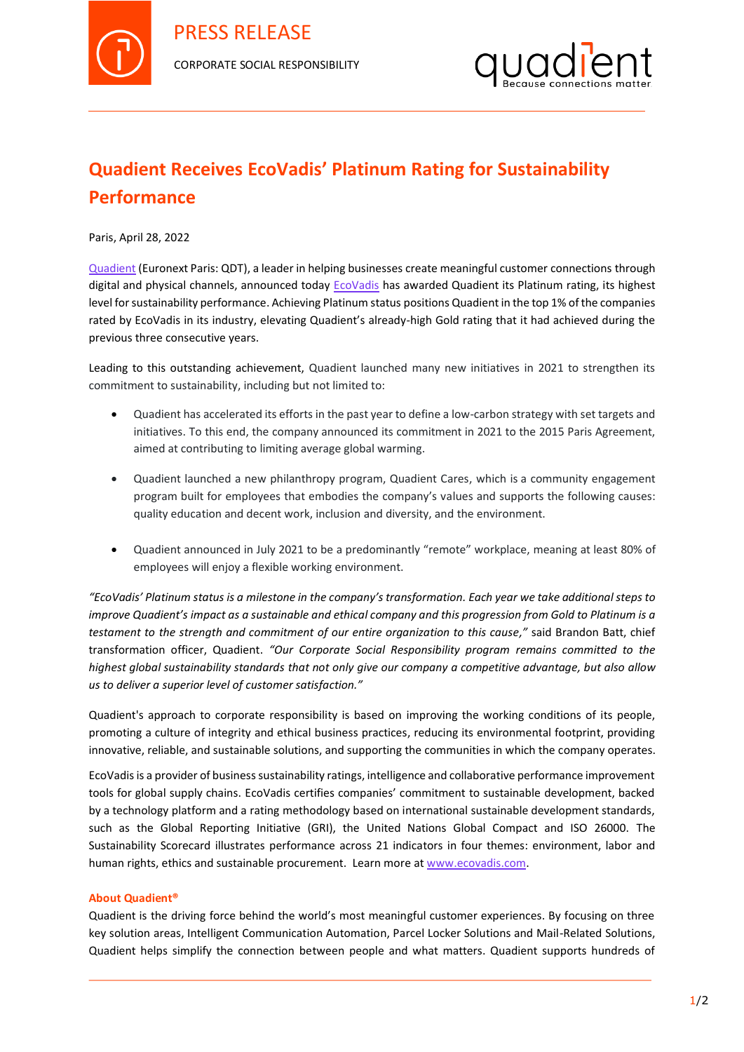



## **Quadient Receives EcoVadis' Platinum Rating for Sustainability Performance**

Paris, April 28, 2022

[Quadient](http://www.quadient.com/) (Euronext Paris: QDT), a leader in helping businesses create meaningful customer connections through digital and physical channels, announced today [EcoVadis](https://ecovadis.com/) has awarded Quadient its Platinum rating, its highest level for sustainability performance. Achieving Platinum status positions Quadient in the top 1% of the companies rated by EcoVadis in its industry, elevating Quadient's already-high Gold rating that it had achieved during the previous three consecutive years.

Leading to this outstanding achievement, Quadient launched many new initiatives in 2021 to strengthen its commitment to sustainability, including but not limited to:

- Quadient has accelerated its efforts in the past year to define a low-carbon strategy with set targets and initiatives. To this end, the company announced its commitment in 2021 to the 2015 Paris Agreement, aimed at contributing to limiting average global warming.
- Quadient launched a new philanthropy program, Quadient Cares, which is a community engagement program built for employees that embodies the company's values and supports the following causes: quality education and decent work, inclusion and diversity, and the environment.
- Quadient announced in July 2021 to be a predominantly "remote" workplace, meaning at least 80% of employees will enjoy a flexible working environment.

*"EcoVadis' Platinum status is a milestone in the company's transformation. Each year we take additional steps to improve Quadient's impact as a sustainable and ethical company and this progression from Gold to Platinum is a testament to the strength and commitment of our entire organization to this cause,"* said Brandon Batt, chief transformation officer, Quadient. *"Our Corporate Social Responsibility program remains committed to the highest global sustainability standards that not only give our company a competitive advantage, but also allow us to deliver a superior level of customer satisfaction."*

Quadient's approach to corporate responsibility is based on improving the working conditions of its people, promoting a culture of integrity and ethical business practices, reducing its environmental footprint, providing innovative, reliable, and sustainable solutions, and supporting the communities in which the company operates.

EcoVadis is a provider of business sustainability ratings, intelligence and collaborative performance improvement tools for global supply chains. EcoVadis certifies companies' commitment to sustainable development, backed by a technology platform and a rating methodology based on international sustainable development standards, such as the Global Reporting Initiative (GRI), the United Nations Global Compact and ISO 26000. The Sustainability Scorecard illustrates performance across 21 indicators in four themes: environment, labor and human rights, ethics and sustainable procurement. Learn more a[t www.ecovadis.com.](http://www.ecovadis.com/)

## **About Quadient®**

Quadient is the driving force behind the world's most meaningful customer experiences. By focusing on three key solution areas, Intelligent Communication Automation, Parcel Locker Solutions and Mail-Related Solutions, Quadient helps simplify the connection between people and what matters. Quadient supports hundreds of